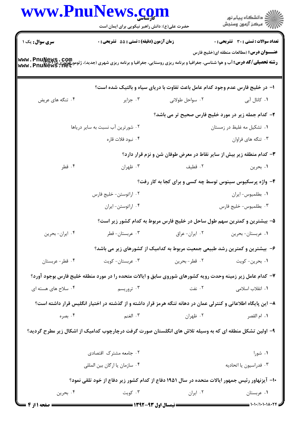|                     | www.PnuNews.com<br>حضرت علی(ع): دانش راهبر نیکویی برای ایمان است                                                                                                       |                 | ِ<br>∭ دانشڪاه پيام نور<br>∭ مرڪز آزمون وسنڊش                                 |
|---------------------|------------------------------------------------------------------------------------------------------------------------------------------------------------------------|-----------------|-------------------------------------------------------------------------------|
| سری سوال: یک ۱      | زمان آزمون (دقیقه) : تستی : 55 تشریحی : 0                                                                                                                              |                 | تعداد سوالات : تستى : 30 - تشريحي : 0                                         |
|                     | <b>رشته تحصیلی/کد درس: آ</b> ب و هوا شناسی، جغرافیا و برنامه ریزی روستایی، جغرافیا و برنامه ریزی شهری (جدید)، ژئومورفولوژی www . PnuNew8 . Com<br> www . PnuNewS . Net |                 | <del>عنــــو</del> ان درس: (مطالعات منطقه ای(خلیج فارس                        |
|                     |                                                                                                                                                                        |                 | ا- در خلیج فارس عدم وجود کدام عامل باعث تفاوت با دریای سیاه و بالتیک شده است؟ |
| ۰۴ تنگه های عریض    | ۰۳ جزایر                                                                                                                                                               | ۰۲ سواحل طولانی | ۰۱ کانال آبی                                                                  |
|                     |                                                                                                                                                                        |                 | ۲- کدام جمله زیر در مورد خلیج فارس صحیح تر می باشد؟                           |
|                     | ۰۲ شورترین آب نسبت به سایر دریاها                                                                                                                                      |                 | ۰۱ تشکیل مه غلیظ در زمستان                                                    |
|                     | ۰۴ نبود فلات قاره                                                                                                                                                      |                 | ۰۳ تنگه های فراوان                                                            |
|                     |                                                                                                                                                                        |                 | ۳- کدام منطقه زیر بیش از سایر نقاط در معرض طوفان شن و نزم قرار دارد؟          |
| ۰۴ قطر              | ۰۳ ظهران                                                                                                                                                               | ۰۲ قطیف         | ۰۱ بحرين                                                                      |
|                     |                                                                                                                                                                        |                 | ۴- واژه پرسکیوس سینوس توسط چه کسی و برای کجا به کار رفت؟                      |
|                     | ۰۲ اراتوستن- خلیج فارس                                                                                                                                                 |                 | ٠١ بطلميوس-ايران                                                              |
|                     | ۰۴ اراتوستن- ايران                                                                                                                                                     |                 | ۰۳ بطلميوس- خليج فارس                                                         |
|                     |                                                                                                                                                                        |                 | ۵– بیشترین و کمترین سهم طول ساحل در خلیج فارس مربوط به کدام کشور زیر است؟     |
| ۰۴ ایران- بحرین     | ۰۳ عربستان- قطر                                                                                                                                                        | ٠٢ ايران- عراق  | ٠١ عربستان- بحرين                                                             |
|                     |                                                                                                                                                                        |                 | ۶– بیشترین و کمترین رشد طبیعی جمعیت مربوط به کدامیک از کشورهای زیر می باشد؟   |
| ۰۴ قطر- عربستان     | ۰۳ عربستان- کويت                                                                                                                                                       | ۰۲ قطر – بحرين  | ۰۱ بحرين- كويت                                                                |
|                     | ۷- کدام عامل زیر زمینه وحدت رویه کشورهای شوروی سابق و ایالات متحده را در مورد منطقه خلیج فارس بوجود آورد؟                                                              |                 |                                                                               |
| ۰۴ سلاح های هسته ای | ۰۳ تروریسم                                                                                                                                                             | ۰۲ نفت          | ۰۱ انقلاب اسلامی                                                              |
|                     | ۸– این پایگاه اطلاعاتی و کنترلی عمان در دهانه تنگه هرمز قرار داشته و از گذشته در اختیار انگلیس قرار داشته است؟                                                         |                 |                                                                               |
| ۰۴ بصره             | ٣. الغنم                                                                                                                                                               | ۰۲ ظهران        | ٠١. ام القصر                                                                  |
|                     | ۹– اولین تشکل منطقه ای که به وسیله تلاش های انگلستان صورت گرفت درچارچوب کدامیک از اشکال زیر مطرح گردید؟                                                                |                 |                                                                               |
|                     | ۰۲ جامعه مشترک اقتصادی                                                                                                                                                 |                 | ۰۱ شورا                                                                       |
|                     | ۰۴ سازمان يا ارگان بين المللي                                                                                                                                          |                 | ۰۳ فدراسيون يا اتحاديه                                                        |
|                     | ۱۰– آیزنهاور رئیس جمهور ایالات متحده در سال ۱۹۵۱ دفاع از کدام کشور زیر دفاع از خود تلقی نمود؟                                                                          |                 |                                                                               |
| ۰۴ بحرين            | ۰۳ کويت                                                                                                                                                                | ۰۲ ایران        | ۰۱ عربستان                                                                    |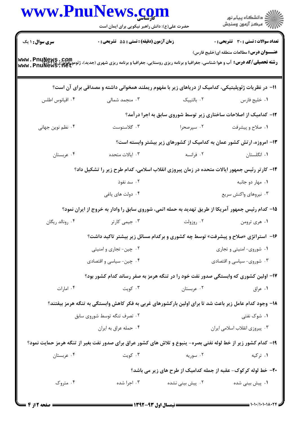| ر<br>دانشڪاه پيام نور)<br>اڳ مرڪز آزمون وسنڊش                         | www.PnuNews.com<br>حضرت علی(ع): دانش راهبر نیکویی برای ایمان است |                                                                                                                |                                                                                                                                                                                       |  |  |
|-----------------------------------------------------------------------|------------------------------------------------------------------|----------------------------------------------------------------------------------------------------------------|---------------------------------------------------------------------------------------------------------------------------------------------------------------------------------------|--|--|
| تعداد سوالات : تستي : 30 - تشريحي : 0                                 |                                                                  | زمان آزمون (دقیقه) : تستی : 55 تشریحی : 0                                                                      | <b>سری سوال : ۱ یک</b>                                                                                                                                                                |  |  |
| <b>عنــــوان درس:</b> مطالعات منطقه ای(خلیج فارس)                     |                                                                  |                                                                                                                | - - - - - -<br><b>رشته تحصیلی/کد درس:</b> آب و هوا شناسی، جغرافیا و برنامه ریزی روستایی، جغرافیا و برنامه ریزی شهری (جدید)، ژئومورفولوژی www . PnuNews . 11et<br>www . PnuNews . 11et |  |  |
|                                                                       |                                                                  | 1۱– در نظریات ژئوپلیتیکی، کدامیک از دریاهای زیر با مفهوم ریملند همخوانی داشته و مصداقی برای آن است؟            |                                                                                                                                                                                       |  |  |
| ٠١ خليج فارس                                                          | ۰۲ بالتییک                                                       | ۰۳ منجمد شمالی                                                                                                 | ۰۴ اقيانوس اطلس                                                                                                                                                                       |  |  |
| ۱۲- کدامیک از اصلاحات ساختاری زیر توسط شوروی سابق به اجرا درآمد؟      |                                                                  |                                                                                                                |                                                                                                                                                                                       |  |  |
| ۰۱ صلاح و پیشرفت                                                      | ۰۲ سپرصحرا                                                       | ۰۳ گلاسنوست                                                                                                    | ۰۴ نظم نوین جهانی                                                                                                                                                                     |  |  |
| ۱۳- امروزه، ارتش کشور عمان به کدامیک از کشورهای زیر بیشتر وابسته است؟ |                                                                  |                                                                                                                |                                                                                                                                                                                       |  |  |
| ۰۱ انگلستان                                                           | ۰۲ فرانسه                                                        | ۰۳ ایالات متحده                                                                                                | ۰۴ عربستان                                                                                                                                                                            |  |  |
|                                                                       |                                                                  | ۱۴– کارتر رئیس جمهور ایالات متحده در زمان پیروزی انقلاب اسلامی، کدام طرح زیر را تشکیل داد؟                     |                                                                                                                                                                                       |  |  |
| ۰۱ مهار دو جانبه                                                      |                                                                  | ۰۲ سد نفوذ                                                                                                     |                                                                                                                                                                                       |  |  |
| ۰۳ نیروهای واکنش سریع                                                 |                                                                  | ۰۴ دولت های یاغی                                                                                               |                                                                                                                                                                                       |  |  |
|                                                                       |                                                                  | ۱۵– کدام رئیس جمهور آمریکا از طریق تهدید به حمله اتمی، شوروی سابق را وادار به خروج از ایران نمود؟              |                                                                                                                                                                                       |  |  |
| ۰۱ هري ترومن                                                          | ۰۲ روزولت                                                        | ۰۳ جیمی کارتر                                                                                                  | ۰۴ رونالد ريگان                                                                                                                                                                       |  |  |
|                                                                       |                                                                  | ۱۶- آستراتژی «صلاح و پیشرفت» توسط چه کشوری و برکدام مسائل زیر بیشتر تاکید داشت؟                                |                                                                                                                                                                                       |  |  |
| ۰۱ شوروی- امنیتی و تجاری                                              |                                                                  | ۰۲ چین- تجاری و امنیتی                                                                                         |                                                                                                                                                                                       |  |  |
| ۰۳ شوروی- سیاسی و اقتصادی                                             |                                                                  | ۰۴ چین- سیاسی و اقتصادی                                                                                        |                                                                                                                                                                                       |  |  |
|                                                                       |                                                                  | ۱۷– اولین کشوری که وابستگی صدور نفت خود را در تنگه هرمز به صفر رساند کدام کشور بود؟                            |                                                                                                                                                                                       |  |  |
| ۰۱ عراق                                                               | ۰۲ عربستان                                                       | ۰۳ کویت                                                                                                        | ۰۴ امارات                                                                                                                                                                             |  |  |
|                                                                       |                                                                  | ۱۸– وجود کدام عامل زیر باعث شد تا برای اولین بارکشورهای غربی به فکر کاهش وابستگی به تنگه هرمز بیفتند؟          |                                                                                                                                                                                       |  |  |
| ۰۱ شوک نفتی                                                           |                                                                  | ۰۲ تصرف تنگه توسط شوروی سابق                                                                                   |                                                                                                                                                                                       |  |  |
| ۰۳ پیروزی انقلاب اسلامی ایران                                         |                                                                  | ۰۴ حمله عراق به ايران                                                                                          |                                                                                                                                                                                       |  |  |
|                                                                       |                                                                  | ۱۹– کدام کشور زیر از خط لوله نفتی بصره- پنبوع و تلاش های کشور عراق برای صدور نفت بغیر از تنگه هرمز حمایت نمود؟ |                                                                                                                                                                                       |  |  |
| ۰۱ ترکیه                                                              | ۰۲ سوریه                                                         | ۰۳ کویت                                                                                                        | ۰۴ عربستان                                                                                                                                                                            |  |  |
| ۲۰- خط لوله کرکوک- عقبه از جمله کدامیک از طرح های زیر می باشد؟        |                                                                  |                                                                                                                |                                                                                                                                                                                       |  |  |
| ۰۱ پیش بینی شده                                                       | ۰۲ پیش بینی نشده                                                 | ۰۳ اجرا شده                                                                                                    | ۰۴ متروک                                                                                                                                                                              |  |  |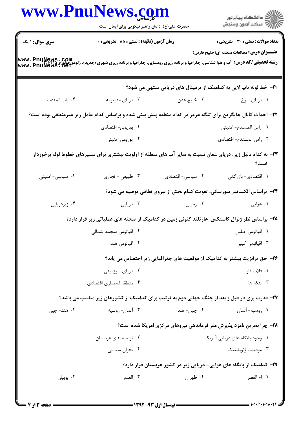|                                                                                                                                                                       | www.PnuNews.com<br>الاد دانشگاه پيام نور<br>   > مرکز آزمون وسنجش<br>حضرت علی(ع): دانش راهبر نیکویی برای ایمان است |                                            |                        |  |  |
|-----------------------------------------------------------------------------------------------------------------------------------------------------------------------|--------------------------------------------------------------------------------------------------------------------|--------------------------------------------|------------------------|--|--|
| <b>تعداد سوالات : تستی : 30 ٪ تشریحی : 0</b>                                                                                                                          |                                                                                                                    | زمان آزمون (دقیقه) : تستی : 55 آتشریحی : 0 | <b>سری سوال :</b> ۱ یک |  |  |
| <b>عنـــوان درس:</b> مطالعات منطقه ای(خلیج فارس)                                                                                                                      |                                                                                                                    |                                            |                        |  |  |
| <b>رشته تحصیلی/کد درس:</b> آب و هوا شناسی، جغرافیا و برنامه ریزی روستایی، جغرافیا و برنامه ریزی شهری (جدید)، ژئومورفولوژی www . PnuNews . 10t<br>www . PnuNews . 11et |                                                                                                                    |                                            |                        |  |  |
| <b>۲۱</b> – خط لوله تاپ لاین به کدامیک از ترمینال های دریایی منتهی می شود؟                                                                                            |                                                                                                                    |                                            |                        |  |  |
| ۰۱ دریای سرخ                                                                                                                                                          | ۰۲ خلیج عدن                                                                                                        | ۰۳ دریای مدیترانه                          | ۰۴ باب المندب          |  |  |
| ۲۲– احداث کانال جایگزین برای تنگه هرمز در کدام منطقه پیش بینی شده و براساس کدام عامل زیر غیرمنطقی بوده است؟                                                           |                                                                                                                    |                                            |                        |  |  |
| ٠١ راس المسندم- امنيتي                                                                                                                                                |                                                                                                                    | ۰۲ بوریمی- اقتصادی                         |                        |  |  |
| ٠٣ راس المسندم- اقتصادى                                                                                                                                               |                                                                                                                    | ۰۴ بوریمی امنیتی                           |                        |  |  |
| ۲۳- به کدام دلیل زیر، دریای عمان نسبت به سایر آب های منطقه از اولویت بیشتری برای مسیرهای خطوط لوله برخوردار<br>است؟                                                   |                                                                                                                    |                                            |                        |  |  |
| ۰۱ اقتصادي- بازرگاني                                                                                                                                                  | ٢. سياسي- اقتصادي                                                                                                  | ۰۳ طبیعی - تجاری                           | ۰۴ سیاسی- امنیتی       |  |  |
| ۲۴- براساس الکساندر سورسکی، تقویت کدام بخش از نیروی نظامی توصیه می شود؟                                                                                               |                                                                                                                    |                                            |                        |  |  |
| ۰۱ هوایی                                                                                                                                                              | ۰۲ زمینی                                                                                                           | ۰۳ دریایی                                  | ۰۴ زیردریایی           |  |  |
| ۲۵– براساس نظر ژنرال کاستکس، هارتلند کنونی زمین در کدامیک از صحنه های عملیاتی زیر قرار دارد؟                                                                          |                                                                                                                    |                                            |                        |  |  |
| ٠١ اقيانوس اطلس                                                                                                                                                       |                                                                                                                    | ۰۲ اقیانوس منجمد شمالی                     |                        |  |  |
| ۰۳ اقیانوس کبیر                                                                                                                                                       |                                                                                                                    | ۰۴ اقیانوس هند                             |                        |  |  |
| ۲۶– حق ترانزیت بیشتر به کدامیک از موقعیت های جغرافیایی زیر اختصاص می یابد؟                                                                                            |                                                                                                                    |                                            |                        |  |  |
| ۰۱ فلات قاره                                                                                                                                                          |                                                                                                                    | ۰۲ دریای سرزمینی                           |                        |  |  |
| ۰۳ تنگه ها                                                                                                                                                            |                                                                                                                    | ۰۴ منطقه انحصاري اقتصادي                   |                        |  |  |
| ۲۷- قدرت بری در قبل و بعد از جنگ جهانی دوم به ترتیب برای کدامیک از کشورهای زیر مناسب می باشد؟                                                                         |                                                                                                                    |                                            |                        |  |  |
| ۰۱ روسيه- آلمان                                                                                                                                                       | ۰۲ چین- هند                                                                                                        | ۰۳ آلمان-روسيه                             | ۰۴ هند- چين            |  |  |
| <b>۲۸- چرا بحرین نامزد پذیرش مقر فرماندهی نیروهای مرکزی امریکا شده است؟</b>                                                                                           |                                                                                                                    |                                            |                        |  |  |
| ۰۱ وجود پایگاه های دریایی آمریکا                                                                                                                                      |                                                                                                                    | ۰۲ توصیه های عربستان                       |                        |  |  |
| ۰۳ موقعیت ژئوپلیتیک                                                                                                                                                   |                                                                                                                    | ۰۴ بحران سیاسی                             |                        |  |  |
| ۲۹– کدامیک از پایگاه های هوایی- دریایی زیر در کشور عربستان قرار دارد؟                                                                                                 |                                                                                                                    |                                            |                        |  |  |
| ٠١. ام القصر                                                                                                                                                          | ۰۲ ظهران                                                                                                           | ۰۳ الغنم                                   | ۰۴ بوبيان              |  |  |
|                                                                                                                                                                       |                                                                                                                    |                                            |                        |  |  |